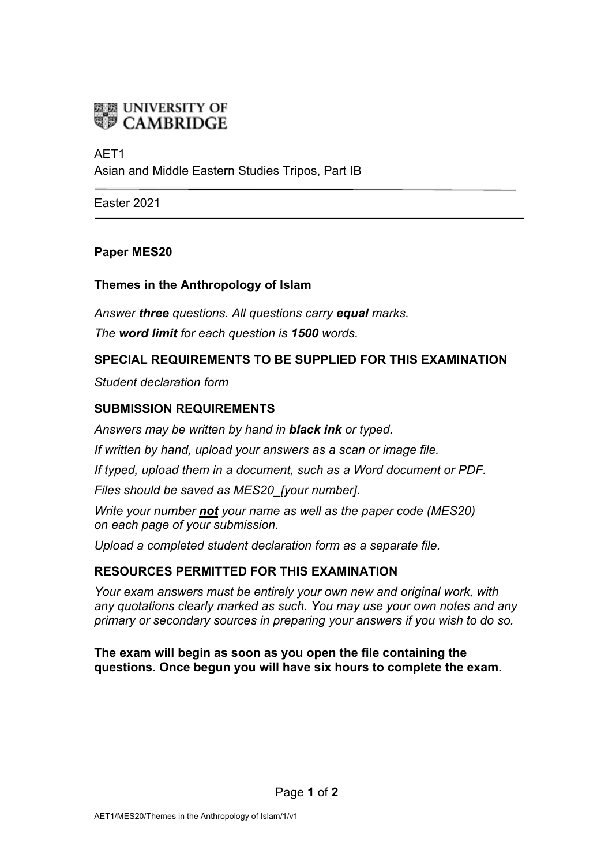

## AFT<sub>1</sub>

Asian and Middle Eastern Studies Tripos, Part IB

Easter 2021

## **Paper MES20**

#### **Themes in the Anthropology of Islam**

*Answer three questions. All questions carry equal marks. The word limit for each question is 1500 words.*

## **SPECIAL REQUIREMENTS TO BE SUPPLIED FOR THIS EXAMINATION**

*Student declaration form*

## **SUBMISSION REQUIREMENTS**

*Answers may be written by hand in black ink or typed.*

*If written by hand, upload your answers as a scan or image file.*

*If typed, upload them in a document, such as a Word document or PDF.*

*Files should be saved as MES20\_[your number].*

*Write your number not your name as well as the paper code (MES20) on each page of your submission.*

*Upload a completed student declaration form as a separate file.*

## **RESOURCES PERMITTED FOR THIS EXAMINATION**

*Your exam answers must be entirely your own new and original work, with any quotations clearly marked as such. You may use your own notes and any primary or secondary sources in preparing your answers if you wish to do so.*

**The exam will begin as soon as you open the file containing the questions. Once begun you will have six hours to complete the exam.**